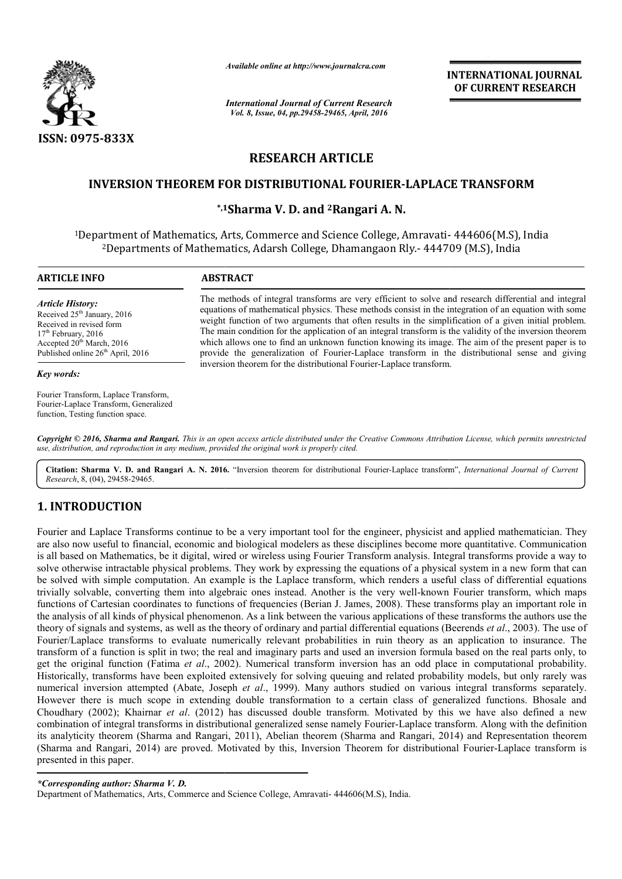

*Available online at http://www.journalcra.com*

*International Journal of Current Research Vol. 8, Issue, 04, pp.29458-29465, April, 2016*

**INTERNATIONAL JOURNAL OF CURRENT RESEARCH** 

# **RESEARCH ARTICLE**

# **INVERSION THEOREM FOR DISTRIBUTIONAL FOURIER FOURIER-LAPLACE TRANSFORM LAPLACE**

# **\*,1 1Sharma V. D. and 2Rangari A. N.**

<sup>1</sup>Department of Mathematics, Arts, Commerce and Science College, Amravati- 444606(M.S), India <sup>2</sup>Departments of Mathematics, Adarsh College, Dhamangaon Rly.- 444709 (M.S), India

 $\overline{a}$ 

#### **ARTICLE INFO ABSTRACT**

*Article History:* Received 25<sup>th</sup> January, 2016 Received in revised form  $17<sup>th</sup>$  February, 2016 Accepted  $20^{th}$  March, 2016 Published online 26<sup>th</sup> April, 2016

#### *Key words:*

Fourier Transform, Laplace Transform, Fourier-Laplace Transform, Generalized function, Testing function space.

The methods of integral transforms are very efficient to solve and research differential and integral equations of mathematical physics. These methods consist in the integration of an equation with some weight function of two arguments that often results in the simplification of a given initial problem. The main condition for the application of an integral transform is the validity of the inversion theorem which allows one to find an unknown function knowing its image. The aim of the present paper is to provide the generalization of Fourier-Laplace transform in the distributional sense and giving inversion theorem for the distributional Fourier-Laplace transform. The methods of integral transforms are very efficient to solve and research differen equations of mathematical physics. These methods consist in the integration of an equ<br>weight function of two arguments that often results

Copyright © 2016, Sharma and Rangari. This is an open access article distributed under the Creative Commons Attribution License, which permits unrestricted *use, distribution, and reproduction in any medium, provided the original work is properly cited.*

Citation: Sharma V. D. and Rangari A. N. 2016. "Inversion theorem for distributional Fourier-Laplace transform", *International Journal of Current Research*, 8, (04), 29458-29465.

# **1. INTRODUCTION**

Fourier and Laplace Transforms continue to be a very important tool for the engineer, physicist and applied mathematician. They are also now useful to financial, economic and biological modelers as these disciplines become are also now useful to financial, economic and biological modelers as these disciplines become more quantitative. Communicati is all based on Mathematics, be it digital, wired or wireless using Fourier Transform analysis. , Integral transforms provide a way to is all based on Mathematics, be it digital, wired or wireless using Fourier Transform analysis. Integral transforms provide a way to<br>solve otherwise intractable physical problems. They work by expressing the equations of a be solved with simple computation. An example is the Laplace transform, which renders a useful class of differential equations be solved with simple computation. An example is the Laplace transform, which renders a useful class of differential equations<br>trivially solvable, converting them into algebraic ones instead. Another is the very well-known functions of Cartesian coordinates to functions of frequencies (Berian J. James, 2008). These transforms play an important role in trivially solvable, converting them into algebraic ones instead. Another is the very well-known Fourier transform, which maps<br>functions of Cartesian coordinates to functions of frequencies (Berian J. James, 2008). These tr theory of signals and systems, as well as the theory of ordinary and partial differential equations (Beerends Beerends *et al*., 2003). The use of Fourier/Laplace transforms to evaluate numerically relevant probabilities in ruin theory as an application to insurance. The transform of a function is split in two; the real and imaginary parts and used an inversion formula based on the real parts only, to get the original function (Fatima *et al.*, 2002). Numerical transform inversion has an odd place in computational probability. Historically, transforms have been exploited extensively for solving queuing and related probability models, but only rarely was numerical inversion attempted (Abate, Joseph *et al*., 1999). Many authors studied on various integral transforms separately. However there is much scope in extending double transformation to a certain class of generalized functions. Bhosale and Choudhary (2002); Khairnar *et al*. (2012) has discussed double transform. Motivated by this we have also defined a new combination of integral transforms in distributional generalized sense namely Fourier-Laplace transform. Along with the definition numerical inversion attempted (Abate, Joseph *et al.*, 1999). Many authors studied on various integral transforms separately.<br>However there is much scope in extending double transformation to a certain class of generalized (Sharma and Rangari, 2014) are proved. Motivated by this, Inversion Theorem for distributional Fourier-Laplace transform is presented in this paper. Fourier/Laplace transforms to evaluate numerically relevant probabilities in ruin theory as an application to insurance. The transform of a function is split in two; the real and imaginary parts and used an inversion formu

*\*Corresponding author: Sharma V. D.* 

Department of Mathematics, Arts, Commerce and Science College, Amravati- 444606(M.S), India.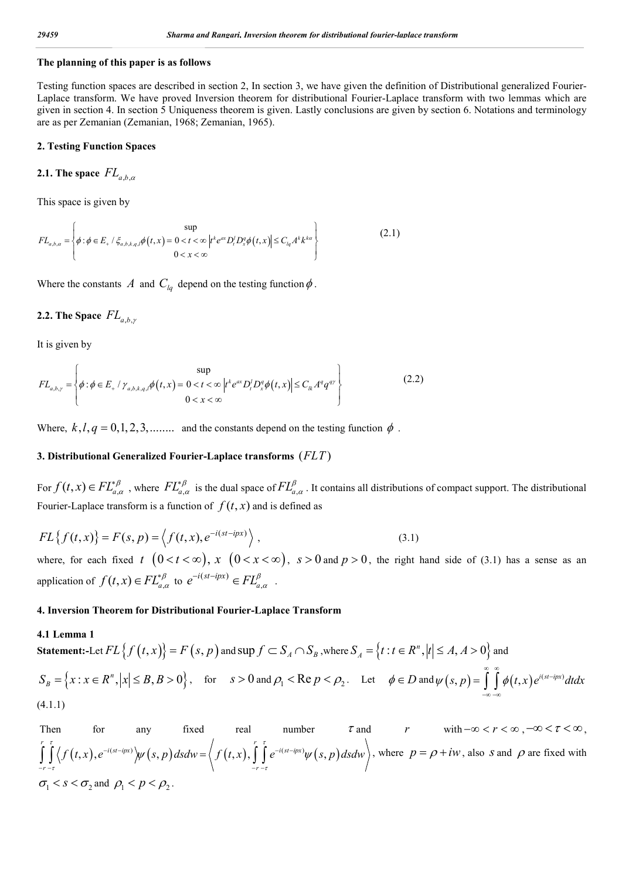#### **The planning of this paper is as follows**

Testing function spaces are described in section 2, In section 3, we have given the definition of Distributional generalized Fourier-Laplace transform. We have proved Inversion theorem for distributional Fourier-Laplace transform with two lemmas which are given in section 4. In section 5 Uniqueness theorem is given. Lastly conclusions are given by section 6. Notations and terminology are as per Zemanian (Zemanian, 1968; Zemanian, 1965).

#### **2. Testing Function Spaces**

2.1. The space 
$$
FL_{a,b,\alpha}
$$

This space is given by

$$
FL_{a,b,\alpha} = \left\{ \phi : \phi \in E_+ \mid \xi_{a,b,k,q,l} \phi(t,x) = 0 < t < \infty \left| t^k e^{\alpha x} D_t^l D_x^q \phi(t,x) \right| \le C_{lq} A^k k^{k\alpha} \right\}
$$
(2.1)

Where the constants A and  $C_{lq}$  depend on the testing function  $\phi$ .

## **2.2. The Space**  $FL_{a\,b\,y}$

It is given by

$$
FL_{a,b,\gamma} = \left\{ \phi : \phi \in E_+ / \gamma_{a,b,k,q,l} \phi(t,x) = 0 < t < \infty \left| t^k e^{ax} D_t^j D_x^q \phi(t,x) \right| \le C_{lk} A^q q^{q\gamma} \right\}
$$
(2.2)

Where,  $k, l, q = 0, 1, 2, 3, \ldots$  and the constants depend on the testing function  $\phi$ .

#### **3. Distributional Generalized Fourier-Laplace transforms** ( $FLT$ )

For  $f(t, x) \in FL^{\beta}_{a,\alpha}$ , where  $FL^{\beta}_{a,\alpha}$  is the dual space of  $FL^{\beta}_{a,\alpha}$ . It contains all distributions of compact support. The distributional Fourier-Laplace transform is a function of  $f(t, x)$  and is defined as

$$
FL{f(t,x)} = F(s,p) = \left\langle f(t,x), e^{-i(st-ipx)} \right\rangle, \tag{3.1}
$$

where, for each fixed t  $(0 < t < \infty)$ ,  $x \ (0 < x < \infty)$ ,  $s > 0$  and  $p > 0$ , the right hand side of (3.1) has a sense as an application of  $f(t, x) \in FL_{a,\alpha}^{*\beta}$  to  $e^{-i(st - ipx)} \in FL_{a,\alpha}^{\beta}$  $e^{-i(st-ipx)} \in FL^{\beta}_{a,\alpha}$ .

### **4. Inversion Theorem for Distributional Fourier-Laplace Transform**

#### **4.1 Lemma 1**

**Statement:** Let 
$$
FL{f(t, x)} = F(s, p)
$$
 and  $\sup f \subset S_A \cap S_B$ , where  $S_A = {t : t \in R^n, |t| \le A, A > 0}$  and  
\n
$$
S_B = {x : x \in R^n, |x| \le B, B > 0}, \text{ for } s > 0 \text{ and } \rho_1 < \text{Re } p < \rho_2. \text{ Let } \phi \in D \text{ and } \psi(s, p) = \int_{-\infty}^{\infty} \int_{-\infty}^{\infty} \phi(t, x) e^{i(st - ipx)} dt dx
$$
\n(4.1.1)

Then for any fixed real number  $\tau$  and  $r$  with  $-\infty < r < \infty$ ,  $-\infty < \tau < \infty$ ,  $\int_0^r \int_0^r \langle f(t,x), e^{-i(st-ipx)} \rangle \psi(s,p) ds dw = \langle f(t,x), \int_0^r \int_0^r e^{-i(st-ipx)} \psi(s,p) \rangle$  $r - \tau$   $\qquad \qquad$  $\int_{0}^{t} \langle f(t,x), e^{-i(st-ipx)} \rangle \psi(s,p) ds dw = \langle f(t,x), \int_{0}^{t} e^{-i(st-ipx)} \psi(s,p) ds dw \rangle$  $\tau$  -  $r$  -  $\tau$  $e^{-i(st-ipx)}$   $\psi(s,p)$  dsdw =  $\langle f(t,x), \int e^{-i(st-ipx)}\psi\rangle$  $\iint_{-r-r} \langle f(t,x), e^{-i(st-ipx)} \rangle \psi(s,p) ds dw = \langle f(t,x), \iint_{-r-r} e^{-i(st-ipx)} \psi(s,p) ds dw \rangle$ , where  $p = \rho + i\omega$ , also *s* and  $\rho$  are fixed with  $\sigma_1 < s < \sigma_2$  and  $\rho_1 < p < \rho_2$ .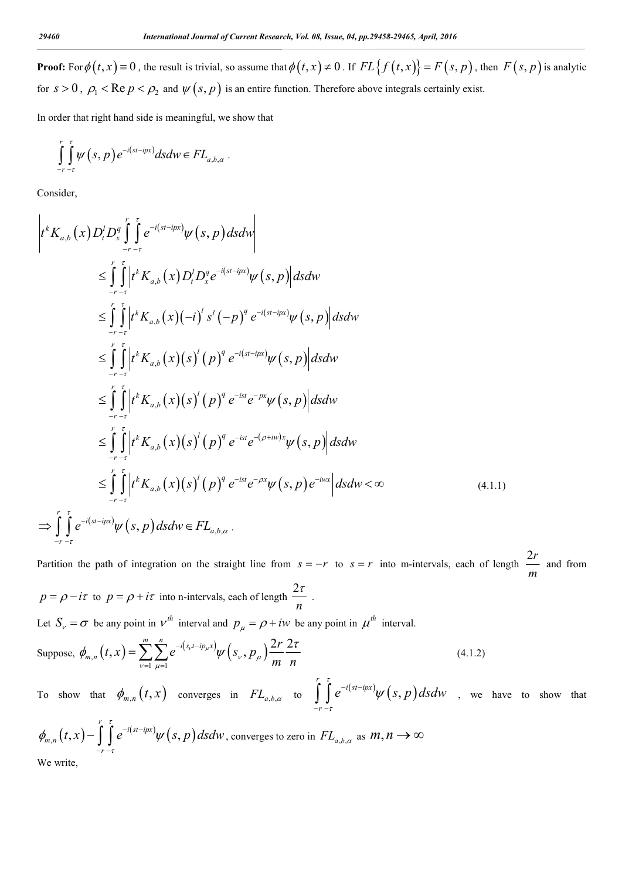**Proof:** For  $\phi(t, x) = 0$ , the result is trivial, so assume that  $\phi(t, x) \neq 0$ . If  $FL{f(t, x)} = F(s, p)$ , then  $F(s, p)$  is analytic for  $s > 0$ ,  $\rho_1 < \text{Re } p < \rho_2$  and  $\psi(s, p)$  is an entire function. Therefore above integrals certainly exist.

In order that right hand side is meaningful, we show that

$$
\int_{-r-\tau}^{r} \int_{-\tau}^{\tau} \psi(s,p) e^{-i(st-ipx)} ds dw \in FL_{a,b,\alpha}.
$$

Consider,

$$
\left|t^{k}K_{a,b}(x)D_{i}^{I}D_{x}^{\sigma}\int_{-r-\tau}^{\tau}\int_{0}^{\tau}e^{-i(st-i\mu x)}\psi(s,p)dsdw\right|
$$
\n
$$
\leq \int_{-r-\tau}^{\tau}\int_{0}^{\tau}\left|t^{k}K_{a,b}(x)D_{i}^{I}D_{x}^{\sigma}e^{-i(st-i\mu x)}\psi(s,p)\right|dsdw
$$
\n
$$
\leq \int_{-r-\tau}^{\tau}\int_{0}^{\tau}\left|t^{k}K_{a,b}(x)(-i)^{I}s^{I}(-p)^{q}e^{-i(st-i\mu x)}\psi(s,p)\right|dsdw
$$
\n
$$
\leq \int_{-r-\tau}^{\tau}\int_{0}^{\tau}\left|t^{k}K_{a,b}(x)(s)^{I}(p)^{q}e^{-i(st-i\mu x)}\psi(s,p)\right|dsdw
$$
\n
$$
\leq \int_{-r-\tau}^{\tau}\int_{0}^{\tau}\left|t^{k}K_{a,b}(x)(s)^{I}(p)^{q}e^{-ist}e^{-\mu x}\psi(s,p)\right|dsdw
$$
\n
$$
\leq \int_{-r-\tau}^{\tau}\int_{0}^{\tau}\left|t^{k}K_{a,b}(x)(s)^{I}(p)^{q}e^{-ist}e^{-(\rho+i\mu)x}\psi(s,p)\right|dsdw
$$
\n
$$
\leq \int_{-r-\tau}^{\tau}\int_{0}^{\tau}\left|t^{k}K_{a,b}(x)(s)^{I}(p)^{q}e^{-ist}e^{-\rho x}\psi(s,p)e^{-i\mu x}\right|dsdw < \infty
$$
\n(4.1.1)\n
$$
\Rightarrow \int_{-r-\tau}^{\tau}\int_{0}^{\tau}e^{-i(st-i\mu x)}\psi(s,p)dsdw \in FL_{a,b,a}.
$$

Partition the path of integration on the straight line from  $s = -r$  to  $s = r$  into m-intervals, each of length  $\frac{2r}{r}$ *m* and from  $p = \rho - i\tau$  to  $p = \rho + i\tau$  into n-intervals, each of length  $\frac{2}{\sqrt{p}}$  $\frac{\tau}{\tau}$ .

*n*

Let  $S_v = \sigma$  be any point in  $v^{th}$  interval and  $p_{\mu} = \rho + iw$  be any point in  $\mu^{th}$  interval.

Suppose, 
$$
\phi_{m,n}(t, x) = \sum_{\nu=1}^{m} \sum_{\mu=1}^{n} e^{-i(s_{\nu}t - ip_{\mu}x)} \psi(s_{\nu}, p_{\mu}) \frac{2r}{m} \frac{2\tau}{n}
$$
 (4.1.2)

To show that  $\phi_{m,n}(t,x)$  converges in  $FL_{a,b,\alpha}$  to  $\int_{a}^{r} \int_{c}^{\tau} e^{-i(st-ipx)} \psi(s,p)$ *i st ipx r*  $e^{-\iota(st - ipx)}\psi(s,p)$ dsdw τ ·τ  $e^{-i(st-ipx)}\psi$  $\iint_{-r} e^{-i(st - ipx)} \psi(s, p) ds dw$ , we have to show that

$$
\phi_{m,n}(t,x) - \int_{-r-\tau}^{r} \int_{-\tau}^{\tau} e^{-i(st-ipx)} \psi(s,p) ds dw
$$
, converges to zero in  $FL_{a,b,\alpha}$  as  $m,n \to \infty$   
We write,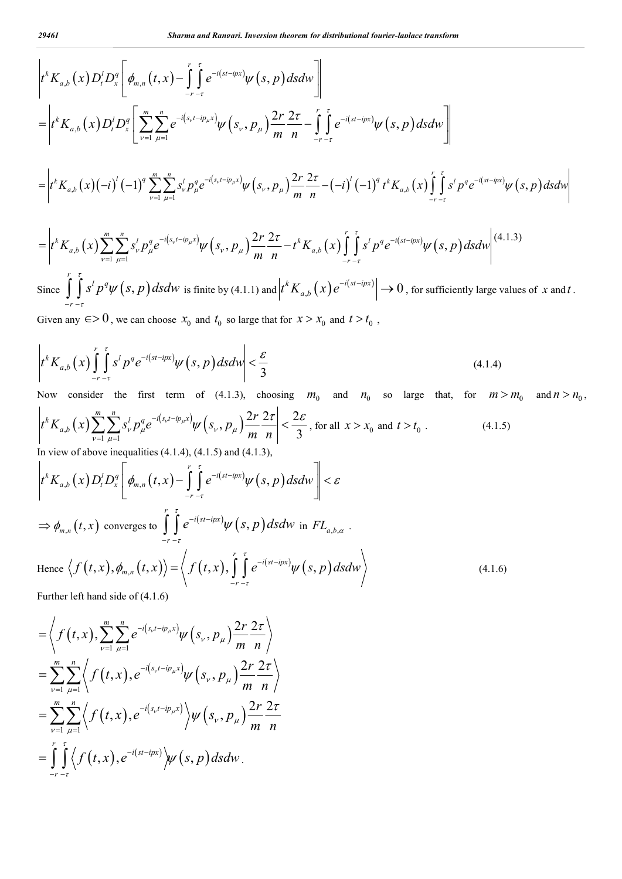$$
\begin{split}\n&\left|t^{k}K_{a,b}(x)D_{t}^{j}D_{x}^{q}\left[\phi_{m,n}(t,x)-\int_{-r-r}^{r}\int_{-r-r}^{r}e^{-i(s-t)px} \psi(s,p)dsdw\right]\right| \\
&=\left|t^{k}K_{a,b}(x)D_{t}^{j}D_{x}^{q}\left[\sum_{\nu=1}^{m}\sum_{\mu=1}^{n}e^{-i(s_{\nu}t-i p_{\mu}x)} \psi(s_{\nu},p_{\mu})\frac{2r}{m}\frac{2\tau}{n}-\int_{-r-r}^{r}\int_{-r-r}^{r}e^{-i(s-t)px} \psi(s,p)dsdw\right]\right| \\
&=\left|t^{k}K_{a,b}(x)(-i)^{j}(-1)^{q}\sum_{\nu=1}^{m}\sum_{\mu=1}^{n}s_{\nu}^{j}p_{\mu}^{q}e^{-i(s_{\nu}t-i p_{\mu}x)} \psi(s_{\nu},p_{\mu})\frac{2r}{m}\frac{2\tau}{n}-(-i)^{j}(-1)^{q}t^{k}K_{a,b}(x)\int_{-r-r}^{r}\int_{-r-r}^{r}s^{j}p_{\mu}^{q}e^{-i(s-t)px} \psi(s,p)dsdw\right| \\
&=\left|t^{k}K_{a,b}(x)\sum_{\nu=1}^{m}\sum_{\mu=1}^{n}s_{\nu}^{j}p_{\mu}^{q}e^{-i(s_{\nu}t-i p_{\mu}x)} \psi(s_{\nu},p_{\mu})\frac{2r}{m}\frac{2\tau}{n}-t^{k}K_{a,b}(x)\int_{-r-r}^{r}\int_{-r-r}^{r}s^{j}p_{\mu}^{q}e^{-i(s-t)px} \psi(s,p)dsdw\right|^{(4.1.3)} \\
&\text{Since } \int_{-r-r}^{r}\int_{-r}^{r}s^{j}p_{\mu}^{q}\psi(s,p)dsdw \text{ is finite by (4.1.1) and } \left|t^{k}K_{a,b}(x)e^{-i(s-t)px}\right| \rightarrow 0 \text{, for sufficiently large values of } x \text{ and } t.\n\end{split}
$$

Given any  $\epsilon > 0$ , we can choose  $x_0$  and  $t_0$  so large that for  $x > x_0$  and  $t > t_0$ ,

$$
\left| t^k K_{a,b}(x) \int_{-r}^r \int_{-r}^{\tau} s^l p^q e^{-i(st - ipx)} \psi(s, p) ds dw \right| < \frac{\varepsilon}{3}
$$
\n(4.1.4)

*r*

 $\tau$ 

Now consider the first term of (4.1.3), choosing  $m_0$  and  $n_0$  so large that, for  $m > m_0$  and  $n > n_0$ ,  $\mathcal{L}_{\mathcal{A},b}\big(x\big)\!\sum\!\sum\! \mathcal{S}_{\mathcal{V}}^{l}p_{\mu}^{q}e^{-i\left(\mathcal{S}_{\mathcal{V}}t-\dot{ip}_{\mu}x\right)}\!\psi\!\left(\mathcal{S}_{\mathcal{V}},p_{\mu}\right).$  $\int_{0}^{k} K_{a,b}\left(x\right) \sum_{\nu=1}^{m} \sum_{\mu=1}^{n} s_{\nu}^{l} p_{\mu}^{q} e^{-i\left(s_{\nu} t - i p_{\mu} x\right)} \psi\left(s_{\nu}, p_{\mu}\right) \frac{2r}{m} \frac{2\tau}{n} \Bigg| < \frac{2\tau}{3}$  $\int t^k K_{a,b}\big(x\big) \sum^m \sum^n_{\nu} S^l_{\nu} p^q_{\mu} e^{-i\left(s_{\nu} t - i p_{\mu} x\right)} \psi\left(s_{\nu}, p_{\mu}\right) \frac{2r}{m}$ *m n*  $\int_\nu^t p_\mu^q e^{-\left(\frac{\nu_\nu \nu}{\nu} - \frac{\nu_\mu \nu}{\mu}\right)} \psi\left(s_\nu, p_\mu\right)$  $v=1$   $\mu$  $\left|\frac{-i(s_{\nu}t - ip_{\mu}x)}{\nu} \psi(s_{\nu}, p_{\mu}) \frac{2r}{\mu} \frac{2\tau}{\sigma}\right| < \frac{2\mathcal{E}}{\sigma}$  $\sum_{\nu=1}^{\infty} \sum_{\mu=1}^{\infty} s_{\nu}^{l} p_{\mu}^{q} e^{-i(s_{\nu}t - i p_{\mu}x)} \psi\left(s_{\nu}, p_{\mu}\right) \frac{2r}{m} \frac{2t}{n} < \frac{2\varepsilon}{3}$ , for all  $x > x_0$  and  $t > t_0$ . (4.1.5) In view of above inequalities  $(4.1.4)$ ,  $(4.1.5)$  and  $(4.1.3)$ ,  $\int_{\mathbb{R}^n} \int_{\mathbb{R}^n} D^q_x \, \Big| \, \phi_{m,n}\big(t,x\big) - \Big[ \, \, \Big[ \, e^{-i (st - ipx)} \psi\big(s,p\big) \Big]$ *r*  $k \times (\mathbf{x}) \mathbf{D}^l \mathbf{D}^q$  *b*  $(\mathbf{x}) \mathbf{D}^l \mathbf{D}^q$  $a, b \left( y \right) \mathcal{L}_t \mathcal{L}_x \mid \mathcal{V}_{m,n}$ *r*  $t^{k} K_{a,b}(x) D_{t}^{t} D_{x}^{q} |\phi_{m,n}(t,x) - | \cdot | e^{-i(st - ipx)} \psi(s,p) ds dw$ τ ·T  $\phi_{m,n}(t,x)$  –  $\int_{-\infty}^{\infty} e^{-i(st-ipx)} \psi(s,p) ds dw$   $\leq \varepsilon$  $-r \begin{array}{ccccccccc} & & r & \tau & & & \\ & & & \mathbf{r} & \tau & & \\ & & \mathbf{r} & \mathbf{r} & \mathbf{r} & \mathbf{r} & \mathbf{r} & \mathbf{r} \end{array}$  $\left[ \phi_{m,n}(t,x)-\int\limits_{-r\,-\tau}e^{-i(st-ipx)}\psi\left( s,p\right) dsdw\right] <$  $\Rightarrow \phi_{m,n}(t,x)$  converges to  $\int_{a}^{r} \int_{c}^{t} e^{-i(st-ipx)} \psi(s,p)$ *i st ipx r*  $e^{-\iota(st - ipx)}\psi(s,p)$ *dsdw*  $\int\limits_0^{\tau}e^{-i(st-ipx)}\psi$ ٠τ  $\int\limits_{-r}$   $\int\limits_{-\tau}^{r} e^{-i(st-ipx)} \psi(s,p) ds dw$  in  $FL_{a,b,\alpha}$ . Hence  $\langle f(t,x),\phi_{m,n}(t,x)\rangle = \langle f(t,x),\int_0^r \int_0^{\tau} e^{-i(st-ipx)}\psi(s,p)\rangle$ *i st ipx m n*  $f(t,x), \phi_{m,n}(t,x) \rangle = \langle f(t,x), \vert \vert e^{-i(st - ipx)} \psi(s,p) ds dw \rangle$ τ  $\langle \phi_{m,n}(t,x) \rangle = \langle f(t,x), \int e^{-i(st-ipx)} \psi \rangle$  $=\langle f(t,x), \int_{-r-\tau}^{\infty} e^{-t(s-t)xx} \psi(s,p) ds dw \rangle$  (4.1.6)

Further left hand side of (4.1.6)

$$
= \left\langle f(t, x), \sum_{\nu=1}^{m} \sum_{\mu=1}^{n} e^{-i(s_{\nu}t - ip_{\mu}x)} \psi(s_{\nu}, p_{\mu}) \frac{2r}{m} \frac{2\tau}{n} \right\rangle
$$
  
\n
$$
= \sum_{\nu=1}^{m} \sum_{\mu=1}^{n} \left\langle f(t, x), e^{-i(s_{\nu}t - ip_{\mu}x)} \psi(s_{\nu}, p_{\mu}) \frac{2r}{m} \frac{2\tau}{n} \right\rangle
$$
  
\n
$$
= \sum_{\nu=1}^{m} \sum_{\mu=1}^{n} \left\langle f(t, x), e^{-i(s_{\nu}t - ip_{\mu}x)} \right\rangle \psi(s_{\nu}, p_{\mu}) \frac{2r}{m} \frac{2\tau}{n}
$$
  
\n
$$
= \int_{-r}^{r} \int_{-r}^{r} \left\langle f(t, x), e^{-i(st - ipx)} \right\rangle \psi(s, p) ds dw
$$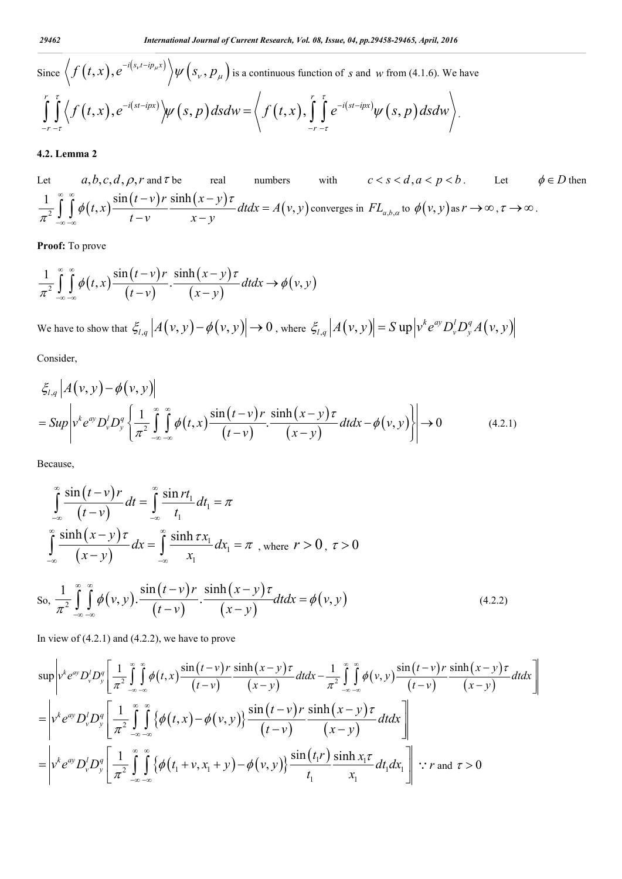Since 
$$
\langle f(t,x), e^{-i(s_v t - ip_\mu x)} \rangle \psi(s_v, p_\mu)
$$
 is a continuous function of *s* and *w* from (4.1.6). We have\n
$$
\int_{-r}^{r} \int_{-r}^{r} \langle f(t,x), e^{-i(st - ipx)} \rangle \psi(s,p) ds dw = \langle f(t,x), \int_{-r}^{r} \int_{-r}^{r} e^{-i(st - ipx)} \psi(s,p) ds dw \rangle.
$$

## **4.2. Lemma 2**

Let  $a, b, c, d, \rho, r$  and  $\tau$  be real numbers with  $c < s < d, a < p < b$ . Let  $\phi \in D$  then  $\frac{1}{\pi^2} \int_{-\infty}^{\infty} \int_{-\infty}^{\infty} \phi(t, x) \frac{\sin(t - v) r}{t - v} \frac{\sinh(x - y) \tau}{x - y} dt dx = A(v, y)$  $\infty$   $\infty$  $\int_{-\infty}^{\infty} \int_{-\infty}^{\infty} \phi(t,x) \frac{\sin(t-v)r}{t-v} \frac{\sinh(x-y)r}{x-y} dt dx = A(v,y)$  converges in  $FL_{a,b,\alpha}$  to  $\phi(v,y)$  as  $r \to \infty$ ,  $\tau \to \infty$ .

**Proof:** To prove

$$
\frac{1}{\pi^2} \int_{-\infty}^{\infty} \int_{-\infty}^{\infty} \phi(t, x) \frac{\sin(t - v)r}{(t - v)} \cdot \frac{\sinh(x - y)\tau}{(x - y)} dt dx \rightarrow \phi(v, y)
$$

We have to show that  $\mathcal{E}_{l,q} |A(v, y) - \phi(v, y)| \to 0$ , where  $\mathcal{E}_{l,q} |A(v, y)| = S \exp \left| v^k e^{ay} D_v^l D_y^q A(v, y) \right|$ Consider,

$$
\xi_{l,q} \left| A(v, y) - \phi(v, y) \right|
$$
\n
$$
= \text{Sup} \left| v^k e^{ay} D_v^l D_y^q \left\{ \frac{1}{\pi^2} \int_{-\infty}^{\infty} \int_{-\infty}^{\infty} \phi(t, x) \frac{\sin(t - v) r}{(t - v)} \cdot \frac{\sinh(x - y) \tau}{(x - y)} dt dx - \phi(v, y) \right\} \right| \to 0
$$
\n(4.2.1)

Because,

$$
\int_{-\infty}^{\infty} \frac{\sin(t-v)r}{(t-v)} dt = \int_{-\infty}^{\infty} \frac{\sin rt_1}{t_1} dt_1 = \pi
$$
\n
$$
\int_{-\infty}^{\infty} \frac{\sinh(x-y)\tau}{(x-y)} dx = \int_{-\infty}^{\infty} \frac{\sinh \tau x_1}{x_1} dx_1 = \pi, \text{ where } r > 0, \tau > 0
$$
\n
$$
\text{So, } \frac{1}{\pi^2} \int_{-\infty}^{\infty} \int_{-\infty}^{\infty} \phi(v,y) \cdot \frac{\sin(t-v)r}{(t-v)} \cdot \frac{\sinh(x-y)\tau}{(x-y)} dt dx = \phi(v,y) \tag{4.2.2}
$$

In view of  $(4.2.1)$  and  $(4.2.2)$ , we have to prove

$$
\sup_{\mathbf{v}} \left| v^k e^{ay} D_v^l D_y^q \left[ \frac{1}{\pi^2} \int_{-\infty}^{\infty} \int_{-\infty}^{\infty} \phi(t, x) \frac{\sin(t - v) r}{(t - v)} \frac{\sinh(x - y) \tau}{(x - y)} dt dx - \frac{1}{\pi^2} \int_{-\infty}^{\infty} \int_{-\infty}^{\infty} \phi(v, y) \frac{\sin(t - v) r}{(t - v)} \frac{\sinh(x - y) \tau}{(x - y)} dt dx \right] \right|
$$
  
\n
$$
= \left| v^k e^{ay} D_v^l D_y^q \left[ \frac{1}{\pi^2} \int_{-\infty}^{\infty} \int_{-\infty}^{\infty} \left\{ \phi(t, x) - \phi(v, y) \right\} \frac{\sin(t - v) r}{(t - v)} \frac{\sinh(x - y) \tau}{(x - y)} dt dx \right] \right|
$$
  
\n
$$
= \left| v^k e^{ay} D_v^l D_y^q \left[ \frac{1}{\pi^2} \int_{-\infty}^{\infty} \int_{-\infty}^{\infty} \left\{ \phi(t_1 + v, x_1 + y) - \phi(v, y) \right\} \frac{\sin(t_1 r)}{t_1} \frac{\sinh x_1 r}{x_1} dt_1 dx_1 \right] \right| \therefore r \text{ and } \tau > 0
$$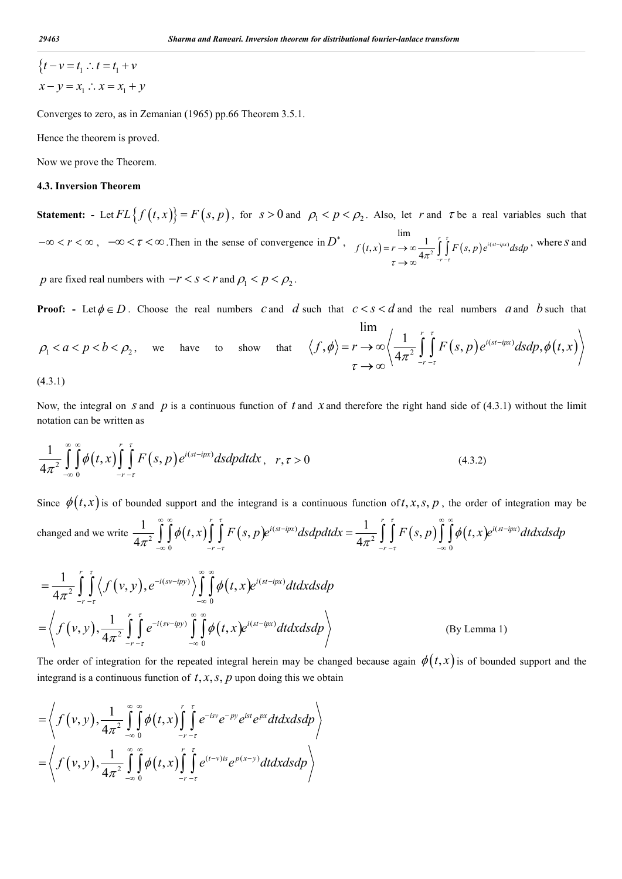$$
\begin{aligned} \n\{t - v = t_1 : t = t_1 + v \\ \nx - y = x_1 : x = x_1 + y \n\end{aligned}
$$

Converges to zero, as in Zemanian (1965) pp.66 Theorem 3.5.1.

Hence the theorem is proved.

Now we prove the Theorem.

## **4.3. Inversion Theorem**

**Statement:** - Let  $FL{f(t, x)} = F(s, p)$ , for  $s > 0$  and  $p_1 < p < p_2$ . Also, let *r* and  $\tau$  be a real variables such that  $-\infty < r < \infty$ ,  $-\infty < \tau < \infty$ . Then in the sense of convergence in  $D^*$ ,  $f(t,x) = r \rightarrow \infty$ ,  $\frac{1}{4\pi^2} \int_{0}^{r} f(s,p) e^{i(st - ipx)}$ lim  $f(x, r) = r \rightarrow \infty \frac{1}{4\pi^2} \int_{-r}^{r} \int_{r}^{r} F(s, p) e^{i(sr - ipx)}$ *r*  $f(t, x) = r \rightarrow \infty$   $\frac{1}{t} \int_{0}^{t} F(s, p) e^{i(st - ipx)} ds dp$  $\tau \rightarrow \infty$ <sup>4 $\pi$ - $\tau$ - $\tau$ </sup> H  $-r =r\rightarrow\infty$  $\rightarrow \infty$  $\int\limits_{0}^{r} \int\limits_{0}^{r} F(s,p) e^{i(st - ipx)} ds dp$ , where *S* and

*p* are fixed real numbers with  $-r < s < r$  and  $\rho_1 < p < \rho_2$ .

**Proof:** - Let  $\phi \in D$ . Choose the real numbers *c* and *d* such that  $c < s < d$  and the real numbers *a* and *b* such that

$$
\lim_{\rho_1 < a < p < b < \rho_2, \text{ we have to show that } \langle f, \phi \rangle = r \to \infty \left\langle \frac{1}{4\pi^2} \int_{-r-\tau}^{r} \int_{-\tau}^{\tau} F(s, p) e^{i(st - ipx)} ds dp, \phi(t, x) \right\rangle
$$

(4.3.1)

Now, the integral on *s* and *p* is a continuous function of *t* and *x* and therefore the right hand side of (4.3.1) without the limit notation can be written as

$$
\frac{1}{4\pi^2} \int_{-\infty}^{\infty} \int_{0}^{\infty} \phi(t,x) \int_{-r-\tau}^{r} F(s,p) e^{i(st-ipx)} ds dp dt dx, \quad r, \tau > 0
$$
\n(4.3.2)

Since  $\phi(t, x)$  is of bounded support and the integrand is a continuous function of t, x, s, p, the order of integration may be changed and we write  $\frac{1}{4\pi^2}\int\int\phi(t,x)\int\int F(s,p)e^{i(st-ipx)}dsdpdtdx = \frac{1}{4\pi^2}\int\int F(s,p)\int\int\phi(t,x)e^{i(st-ipx)}dsdtdx$  $\frac{1}{4\pi^2}\int_{-\infty}^{\infty}\int_{0}^{\infty}\phi(t,x)\int_{-r-\tau}^{r}\int_{0}^{r}F(s,p)e^{i(st-ipx)}dsdpdtdx=\frac{1}{4\pi^2}\int_{-r-\tau}^{r}\int_{-r}^{r}\int_{-\infty}^{r}\int_{0}^{\infty}\phi(t,x)e^{i(st-ipx)}dsdpdt$  $\int_{a}^{i(st - ipx)} d\alpha d\alpha dt dx = \frac{1}{\pi} \int_{a}^{b} F(s, n) \int_{a}^{b} \int_{a}^{b} f(t, x) e^{i(st - ipx)} dx$  $r - \tau$   $-r$  $f(x, x) \int_{0}^{r} \int_{0}^{r} F(s, p) e^{i(st - ipx)} ds dp dt dx = \frac{1}{(1-r)^2} \int_{0}^{r} \int_{0}^{r} F(s, p) \int_{0}^{\infty} \int_{0}^{\infty} \phi(t, x) e^{i(st - ipx)} dt dx ds dp$  $\tau$   $-r$   $-\tau$  $\frac{1}{\pi^2}\int\int\phi(t,x)\int\int F(s,p)e^{i(st-ipx)}dsdpdtdx=\frac{1}{4\pi^2}\int\int F(s,p)\int\int\phi$  $\infty$  or  $\infty$  in the contract of  $\infty$  in the contract of  $\infty$  in the contract of  $\infty$  in the contract of  $\infty$  in the contract of  $\infty$  in the contract of  $\infty$  in the contract of  $\infty$  in the contract of  $\infty$  in the  $(\int d\mathbf{r})d\mathbf{r}d\mathbf{r}d\mathbf{r} = \int \int \int F(\mathbf{r},\mathbf{r})\int \int d(\mathbf{r},\mathbf{r})e^{i(\mathbf{r}-\mathbf{r})t}d\mathbf{r}$  $\iint_{-\infty}^{\infty} \phi(t,x) \iint_{-r-\tau}^{\infty} F(s,p) e^{i(st-ipx)} ds dp dt dx = \frac{1}{4\pi^2} \iint_{-r-\tau}^{\infty} F(s,p) \iint_{-\infty}^{\infty} g(t,x) dx$ 

$$
= \frac{1}{4\pi^2} \int_{-r}^{r} \int_{-r}^{r} \langle f(v, y), e^{-i(sv - ipy)} \rangle \int_{-\infty}^{\infty} \int_{0}^{\infty} \phi(t, x) e^{i(st - ipx)} dt dx ds dp
$$
  

$$
= \langle f(v, y), \frac{1}{4\pi^2} \int_{-r}^{r} \int_{-r}^{r} e^{-i(sv - ipy)} \int_{-\infty}^{\infty} \int_{0}^{\infty} \phi(t, x) e^{i(st - ipx)} dt dx ds dp \rangle
$$
 (By Lemma 1)

The order of integration for the repeated integral herein may be changed because again  $\phi(t, x)$  is of bounded support and the integrand is a continuous function of  $t, x, s, p$  upon doing this we obtain

$$
= \left\langle f(v,y), \frac{1}{4\pi^2} \int_{-\infty}^{\infty} \int_{0}^{\infty} \phi(t,x) \int_{-r-\tau}^{r} e^{-isv} e^{-py} e^{ist} e^{px} dt dx ds dp \right\rangle
$$
  
=  $\left\langle f(v,y), \frac{1}{4\pi^2} \int_{-\infty}^{\infty} \int_{0}^{\infty} \phi(t,x) \int_{-r-\tau}^{r} e^{(t-v)is} e^{p(x-y)} dt dx ds dp \right\rangle$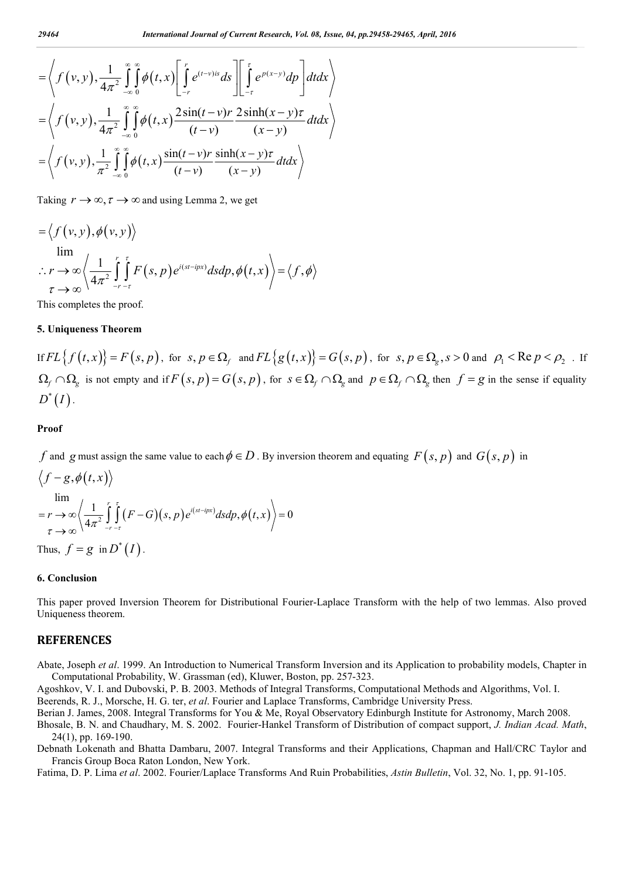$$
= \left\langle f(v,y), \frac{1}{4\pi^2} \int_{-\infty}^{\infty} \int_{0}^{v} \phi(t,x) \left[ \int_{-r}^{r} e^{(t-v)/s} ds \right] \left[ \int_{-\tau}^{\tau} e^{p(x-y)} dp \right] dt dx \right\rangle
$$
  
\n
$$
= \left\langle f(v,y), \frac{1}{4\pi^2} \int_{-\infty}^{\infty} \int_{0}^{\infty} \phi(t,x) \frac{2\sin(t-v)r}{(t-v)} \frac{2\sinh(x-y)\tau}{(x-y)} dt dx \right\rangle
$$
  
\n
$$
= \left\langle f(v,y), \frac{1}{\pi^2} \int_{-\infty}^{\infty} \int_{0}^{\infty} \phi(t,x) \frac{\sin(t-v)r}{(t-v)} \frac{\sinh(x-y)\tau}{(x-y)} dt dx \right\rangle
$$

Taking  $r \to \infty$ ,  $\tau \to \infty$  and using Lemma 2, we get

$$
\begin{aligned}\n&= \left\langle f(v, y), \phi(v, y) \right\rangle \\
&\lim_{\tau \to \infty} \left\langle \frac{1}{4\pi^2} \int_{-r}^{r} \int_{-r}^{r} F(s, p) e^{i(st - ipx)} ds dp, \phi(t, x) \right\rangle = \left\langle f, \phi \right\rangle\n\end{aligned}
$$

This completes the proof.

#### **5. Uniqueness Theorem**

If  $FL{f(t,x)} = F(s,p)$ , for  $s, p \in \Omega$ , and  $FL{g(t,x)} = G(s,p)$ , for  $s, p \in \Omega$ <sub>g</sub>,  $s > 0$  and  $\rho_1 < Re\, p < \rho_2$ . If  $\Omega_f \cap \Omega_g$  is not empty and if  $F(s, p) = G(s, p)$ , for  $s \in \Omega_f \cap \Omega_g$  and  $p \in \Omega_f \cap \Omega_g$  then  $f = g$  in the sense if equality  $D^*(I)$ .

### **Proof**

*f* and *g* must assign the same value to each  $\phi \in D$ . By inversion theorem and equating  $F(s, p)$  and  $G(s, p)$  in

$$
\left\langle f-g, \phi(t, x) \right\rangle
$$
  
\n
$$
\lim_{\tau \to \infty} \left\langle \frac{1}{4\pi^2} \int_{-r-\tau}^{r} \int_{-\tau}^{r} (F - G)(s, p) e^{i(st - ipx)} ds dp, \phi(t, x) \right\rangle = 0
$$
  
\nThus,  $f = g \text{ in } D^*(I)$ .

#### **6. Conclusion**

This paper proved Inversion Theorem for Distributional Fourier-Laplace Transform with the help of two lemmas. Also proved Uniqueness theorem.

## **REFERENCES**

Abate, Joseph *et al*. 1999. An Introduction to Numerical Transform Inversion and its Application to probability models, Chapter in Computational Probability, W. Grassman (ed), Kluwer, Boston, pp. 257-323.

Agoshkov, V. I. and Dubovski, P. B. 2003. Methods of Integral Transforms, Computational Methods and Algorithms, Vol. I. Beerends, R. J., Morsche, H. G. ter, *et al*. Fourier and Laplace Transforms, Cambridge University Press.

Berian J. James, 2008. Integral Transforms for You & Me, Royal Observatory Edinburgh Institute for Astronomy, March 2008.

Bhosale, B. N. and Chaudhary, M. S. 2002. Fourier-Hankel Transform of Distribution of compact support, *J. Indian Acad. Math*, 24(1), pp. 169-190.

Debnath Lokenath and Bhatta Dambaru, 2007. Integral Transforms and their Applications, Chapman and Hall/CRC Taylor and Francis Group Boca Raton London, New York.

Fatima, D. P. Lima *et al*. 2002. Fourier/Laplace Transforms And Ruin Probabilities, *Astin Bulletin*, Vol. 32, No. 1, pp. 91-105.